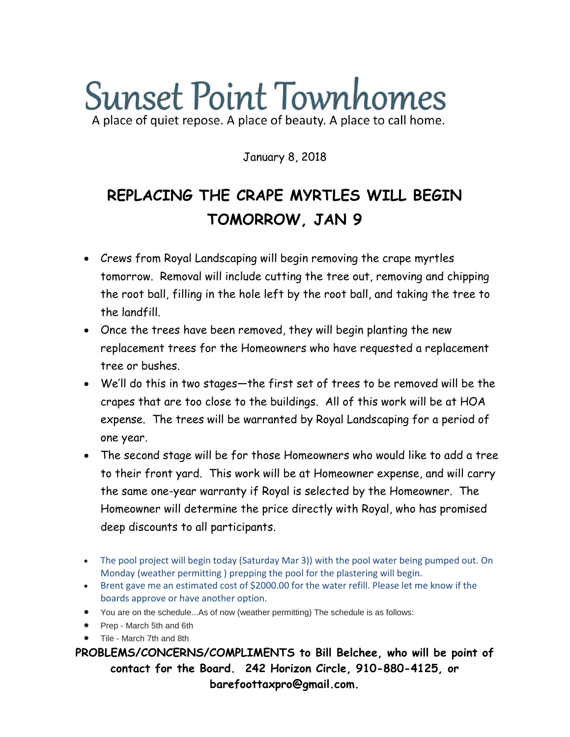# **Sunset Point Townhomes** A place of quiet repose. A place of beauty. A place to call home.

January 8, 2018

### **REPLACING THE CRAPE MYRTLES WILL BEGIN TOMORROW, JAN 9**

- Crews from Royal Landscaping will begin removing the crape myrtles tomorrow. Removal will include cutting the tree out, removing and chipping the root ball, filling in the hole left by the root ball, and taking the tree to the landfill.
- Once the trees have been removed, they will begin planting the new replacement trees for the Homeowners who have requested a replacement tree or bushes.
- We'll do this in two stages—the first set of trees to be removed will be the crapes that are too close to the buildings. All of this work will be at HOA expense. The trees will be warranted by Royal Landscaping for a period of one year.
- The second stage will be for those Homeowners who would like to add a tree to their front yard. This work will be at Homeowner expense, and will carry the same one-year warranty if Royal is selected by the Homeowner. The Homeowner will determine the price directly with Royal, who has promised deep discounts to all participants.
- The pool project will begin today (Saturday Mar 3)) with the pool water being pumped out. On Monday (weather permitting ) prepping the pool for the plastering will begin.
- Brent gave me an estimated cost of \$2000.00 for the water refill. Please let me know if the boards approve or have another option.
- You are on the schedule...As of now (weather permitting) The schedule is as follows:
- Prep March 5th and 6th
- Tile March 7th and 8th

**PROBLEMS/CONCERNS/COMPLIMENTS to Bill Belchee, who will be point of contact for the Board. 242 Horizon Circle, 910-880-4125, or barefoottaxpro@gmail.com.**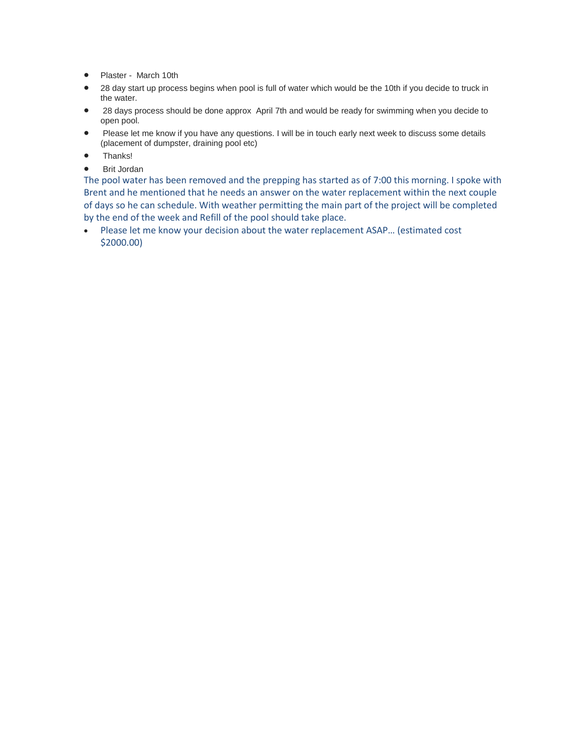- Plaster March 10th
- 28 day start up process begins when pool is full of water which would be the 10th if you decide to truck in the water.
- 28 days process should be done approx April 7th and would be ready for swimming when you decide to open pool.
- Please let me know if you have any questions. I will be in touch early next week to discuss some details (placement of dumpster, draining pool etc)
- Thanks!
- Brit Jordan

The pool water has been removed and the prepping has started as of 7:00 this morning. I spoke with Brent and he mentioned that he needs an answer on the water replacement within the next couple of days so he can schedule. With weather permitting the main part of the project will be completed by the end of the week and Refill of the pool should take place.

 Please let me know your decision about the water replacement ASAP… (estimated cost \$2000.00)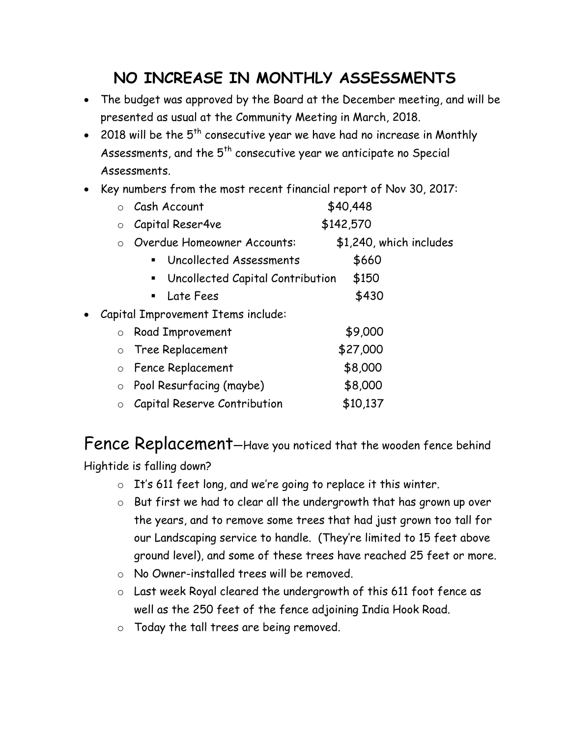#### **NO INCREASE IN MONTHLY ASSESSMENTS**

- The budget was approved by the Board at the December meeting, and will be presented as usual at the Community Meeting in March, 2018.
- 2018 will be the  $5<sup>th</sup>$  consecutive year we have had no increase in Monthly Assessments, and the  $5<sup>th</sup>$  consecutive year we anticipate no Special Assessments.
- Key numbers from the most recent financial report of Nov 30, 2017:

|                                                 | Cash Account<br>$\bigcirc$                         | \$40,448                |
|-------------------------------------------------|----------------------------------------------------|-------------------------|
|                                                 | Capital Reser4ve<br>$\circ$                        | \$142,570               |
|                                                 | Overdue Homeowner Accounts:<br>$\circ$             | \$1,240, which includes |
|                                                 | Uncollected Assessments<br>$\blacksquare$          | \$660                   |
|                                                 | Uncollected Capital Contribution<br>$\blacksquare$ | \$150                   |
|                                                 | Late Fees<br>$\blacksquare$                        | \$430                   |
| Capital Improvement Items include:<br>$\bullet$ |                                                    |                         |
|                                                 | <b>Road Improvement</b><br>$\circ$                 | \$9,000                 |
|                                                 | Tree Replacement<br>$\circ$                        | \$27,000                |
|                                                 | Fence Replacement<br>$\circ$                       | \$8,000                 |
|                                                 | $\circ$ Pool Resurfacing (maybe)                   | \$8,000                 |
|                                                 | <b>Capital Reserve Contribution</b><br>$\circ$     | \$10,137                |

Fence Replacement—Have you noticed that the wooden fence behind Hightide is falling down?

- o It's 611 feet long, and we're going to replace it this winter.
- o But first we had to clear all the undergrowth that has grown up over the years, and to remove some trees that had just grown too tall for our Landscaping service to handle. (They're limited to 15 feet above ground level), and some of these trees have reached 25 feet or more.
- o No Owner-installed trees will be removed.
- o Last week Royal cleared the undergrowth of this 611 foot fence as well as the 250 feet of the fence adjoining India Hook Road.
- o Today the tall trees are being removed.